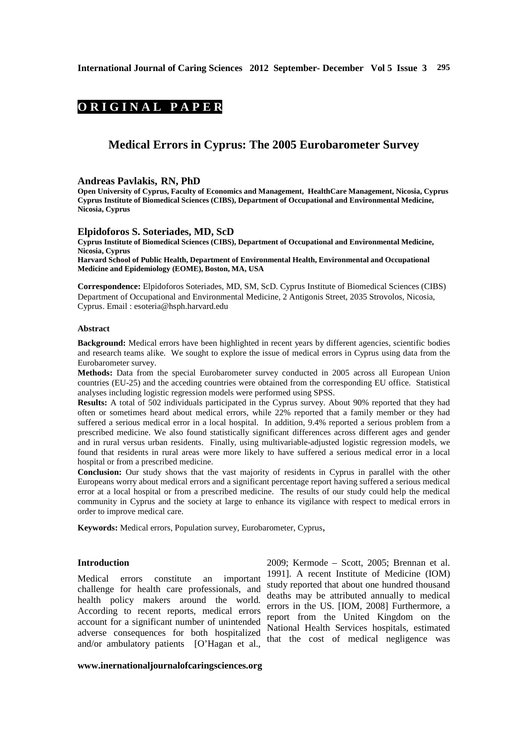# **ORIGINAL PAPER**

## **Medical Errors in Cyprus: The 2005 Eurobarometer Survey**

#### **Andreas Pavlakis, RN, PhD**

**Open University of Cyprus, Faculty of Economics and Management, HealthCare Management, Nicosia, Cyprus Cyprus Institute of Biomedical Sciences (CIBS), Department of Occupational and Environmental Medicine, Nicosia, Cyprus** 

#### **Elpidoforos S. Soteriades, MD, ScD**

**Cyprus Institute of Biomedical Sciences (CIBS), Department of Occupational and Environmental Medicine, Nicosia, Cyprus** 

**Harvard School of Public Health, Department of Environmental Health, Environmental and Occupational Medicine and Epidemiology (EOME), Boston, MA, USA** 

**Correspondence:** Elpidoforos Soteriades, MD, SM, ScD. Cyprus Institute of Biomedical Sciences (CIBS) Department of Occupational and Environmental Medicine, 2 Antigonis Street, 2035 Strovolos, Nicosia, Cyprus. Email : esoteria@hsph.harvard.edu

#### **Abstract**

**Background:** Medical errors have been highlighted in recent years by different agencies, scientific bodies and research teams alike. We sought to explore the issue of medical errors in Cyprus using data from the Eurobarometer survey.

**Methods:** Data from the special Eurobarometer survey conducted in 2005 across all European Union countries (EU-25) and the acceding countries were obtained from the corresponding EU office. Statistical analyses including logistic regression models were performed using SPSS.

**Results:** A total of 502 individuals participated in the Cyprus survey. About 90% reported that they had often or sometimes heard about medical errors, while 22% reported that a family member or they had suffered a serious medical error in a local hospital. In addition, 9.4% reported a serious problem from a prescribed medicine. We also found statistically significant differences across different ages and gender and in rural versus urban residents. Finally, using multivariable-adjusted logistic regression models, we found that residents in rural areas were more likely to have suffered a serious medical error in a local hospital or from a prescribed medicine.

**Conclusion:** Our study shows that the vast majority of residents in Cyprus in parallel with the other Europeans worry about medical errors and a significant percentage report having suffered a serious medical error at a local hospital or from a prescribed medicine. The results of our study could help the medical community in Cyprus and the society at large to enhance its vigilance with respect to medical errors in order to improve medical care.

**Keywords:** Medical errors, Population survey, Eurobarometer, Cyprus,

## **Introduction**

Medical errors constitute an important challenge for health care professionals, and health policy makers around the world. According to recent reports, medical errors account for a significant number of unintended adverse consequences for both hospitalized and/or ambulatory patients [O'Hagan et al.,

2009; Kermode – Scott, 2005; Brennan et al. 1991]. A recent Institute of Medicine (IOM) study reported that about one hundred thousand deaths may be attributed annually to medical errors in the US. [IOM, 2008] Furthermore, a report from the United Kingdom on the National Health Services hospitals, estimated that the cost of medical negligence was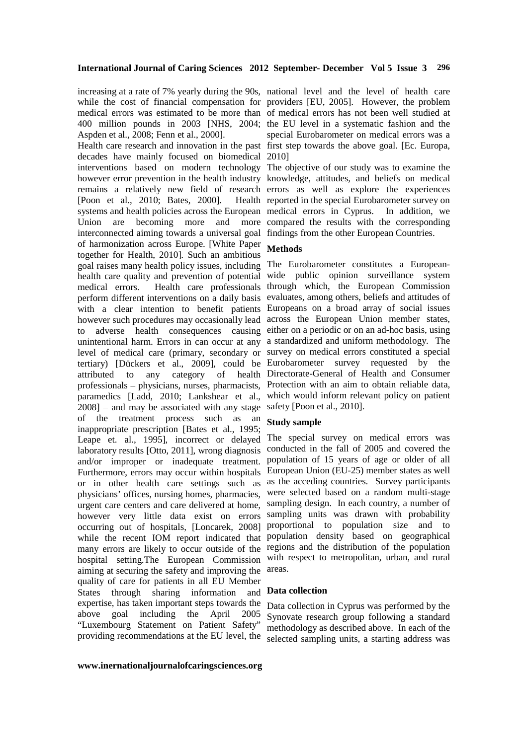Aspden et al., 2008; Fenn et al., 2000].

Health care research and innovation in the past first step towards the above goal. [Ec. Europa, decades have mainly focused on biomedical 2010] interventions based on modern technology The objective of our study was to examine the however error prevention in the health industry knowledge, attitudes, and beliefs on medical remains a relatively new field of research errors as well as explore the experiences [Poon et al.,  $2010$ ; Bates,  $2000$ ]. systems and health policies across the European medical errors in Cyprus. In addition, we Union are becoming more and more compared the results with the corresponding interconnected aiming towards a universal goal findings from the other European Countries. of harmonization across Europe. [White Paper together for Health, 2010]. Such an ambitious goal raises many health policy issues, including The Eurobarometer constitutes a Europeanhealth care quality and prevention of potential wide public opinion surveillance system medical errors. Health care professionals through which, the European Commission perform different interventions on a daily basis evaluates, among others, beliefs and attitudes of with a clear intention to benefit patients Europeans on a broad array of social issues however such procedures may occasionally lead across the European Union member states, to adverse health consequences causing either on a periodic or on an ad-hoc basis, using unintentional harm. Errors in can occur at any a standardized and uniform methodology. The level of medical care (primary, secondary or survey on medical errors constituted a special tertiary) [Dückers et al., 2009], could be Eurobarometer survey requested by the attributed to any category of professionals – physicians, nurses, pharmacists, Protection with an aim to obtain reliable data, paramedics [Ladd, 2010; Lankshear et al., which would inform relevant policy on patient 2008] – and may be associated with any stage safety [Poon et al., 2010]. of the treatment process such as an inappropriate prescription [Bates et al., 1995; Leape et. al., 1995], incorrect or delayed The special survey on medical errors was laboratory results [Otto, 2011], wrong diagnosis and/or improper or inadequate treatment. Furthermore, errors may occur within hospitals or in other health care settings such as as the acceding countries. Survey participants physicians' offices, nursing homes, pharmacies, urgent care centers and care delivered at home, however very little data exist on errors occurring out of hospitals, [Loncarek, 2008] while the recent IOM report indicated that population density based on geographical many errors are likely to occur outside of the regions and the distribution of the population hospital setting.The European Commission with respect to metropolitan, urban, and rural aiming at securing the safety and improving the quality of care for patients in all EU Member States through sharing information and expertise, has taken important steps towards the above goal including the April 2005 "Luxembourg Statement on Patient Safety"

increasing at a rate of 7% yearly during the 90s, national level and the level of health care while the cost of financial compensation for providers [EU, 2005]. However, the problem medical errors was estimated to be more than of medical errors has not been well studied at 400 million pounds in 2003 [NHS, 2004; the EU level in a systematic fashion and the special Eurobarometer on medical errors was a

Health reported in the special Eurobarometer survey on

## **Methods**

health Directorate-General of Health and Consumer

## **Study sample**

conducted in the fall of 2005 and covered the population of 15 years of age or older of all European Union (EU-25) member states as well were selected based on a random multi-stage sampling design. In each country, a number of sampling units was drawn with probability proportional to population size and to areas.

## **Data collection**

providing recommendations at the EU level, the selected sampling units, a starting address was Data collection in Cyprus was performed by the Synovate research group following a standard methodology as described above. In each of the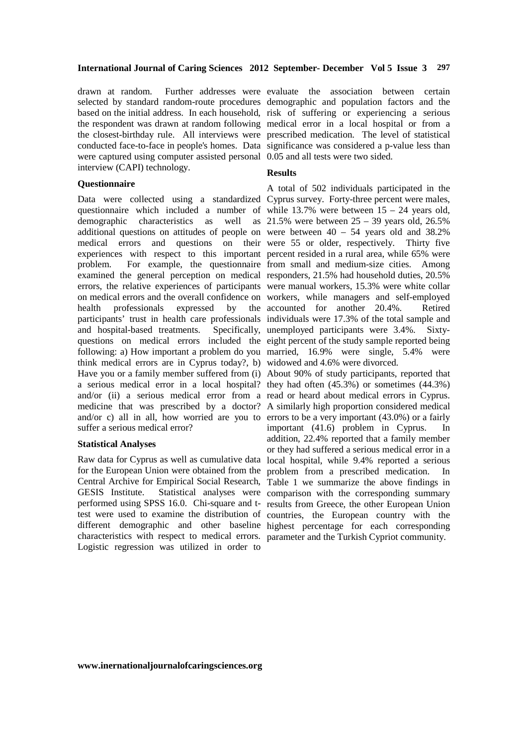drawn at random. Further addresses were evaluate the association between certain selected by standard random-route procedures demographic and population factors and the based on the initial address. In each household, risk of suffering or experiencing a serious the respondent was drawn at random following medical error in a local hospital or from a the closest-birthday rule. All interviews were prescribed medication. The level of statistical conducted face-to-face in people's homes. Data significance was considered a p-value less than were captured using computer assisted personal 0.05 and all tests were two sided. interview (CAPI) technology.

## **Questionnaire**

Data were collected using a standardized Cyprus survey. Forty-three percent were males, questionnaire which included a number of while 13.7% were between 15 – 24 years old, demographic characteristics as well as 21.5% were between 25 – 39 years old, 26.5% additional questions on attitudes of people on were between 40 – 54 years old and 38.2% medical errors and questions on their were 55 or older, respectively. Thirty five experiences with respect to this important percent resided in a rural area, while 65% were problem. For example, the questionnaire from small and medium-size cities. Among examined the general perception on medical responders, 21.5% had household duties, 20.5% errors, the relative experiences of participants were manual workers, 15.3% were white collar on medical errors and the overall confidence on workers, while managers and self-employed health professionals expressed by the accounted for another 20.4%. Retired participants' trust in health care professionals individuals were 17.3% of the total sample and and hospital-based treatments. Specifically, unemployed participants were 3.4%. Sixtyquestions on medical errors included the eight percent of the study sample reported being following: a) How important a problem do you married, 16.9% were single, 5.4% were think medical errors are in Cyprus today?, b) widowed and 4.6% were divorced. Have you or a family member suffered from (i) About 90% of study participants, reported that a serious medical error in a local hospital? they had often (45.3%) or sometimes (44.3%) and/or (ii) a serious medical error from a read or heard about medical errors in Cyprus. medicine that was prescribed by a doctor? A similarly high proportion considered medical and/or c) all in all, how worried are you to errors to be a very important (43.0%) or a fairly suffer a serious medical error?

### **Statistical Analyses**

Raw data for Cyprus as well as cumulative data local hospital, while 9.4% reported a serious for the European Union were obtained from the problem from a prescribed medication. In Central Archive for Empirical Social Research, Table 1 we summarize the above findings in GESIS Institute. Statistical analyses were comparison with the corresponding summary performed using SPSS 16.0. Chi-square and t- results from Greece, the other European Union test were used to examine the distribution of countries, the European country with the different demographic and other baseline highest percentage for each corresponding characteristics with respect to medical errors. parameter and the Turkish Cypriot community. Logistic regression was utilized in order to

## **Results**

A total of 502 individuals participated in the

important (41.6) problem in Cyprus. In addition, 22.4% reported that a family member or they had suffered a serious medical error in a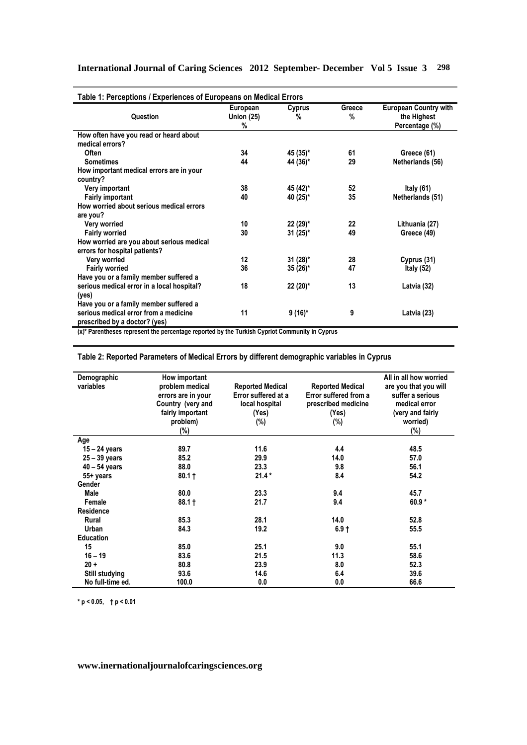| Table 1: Perceptions / Experiences of Europeans on Medical Errors                             |                   |            |        |                              |
|-----------------------------------------------------------------------------------------------|-------------------|------------|--------|------------------------------|
|                                                                                               | European          | Cyprus     | Greece | <b>European Country with</b> |
| Question                                                                                      | <b>Union (25)</b> | %          | %      | the Highest                  |
|                                                                                               | %                 |            |        | Percentage (%)               |
| How often have you read or heard about                                                        |                   |            |        |                              |
| medical errors?                                                                               |                   |            |        |                              |
| Often                                                                                         | 34                | 45 (35)*   | 61     | Greece (61)                  |
| <b>Sometimes</b>                                                                              | 44                | 44 (36)*   | 29     | Netherlands (56)             |
| How important medical errors are in your                                                      |                   |            |        |                              |
| country?                                                                                      |                   |            |        |                              |
| Very important                                                                                | 38                | 45 (42)*   | 52     | Italy $(61)$                 |
| <b>Fairly important</b>                                                                       | 40                | 40 (25)*   | 35     | Netherlands (51)             |
| How worried about serious medical errors                                                      |                   |            |        |                              |
| are you?                                                                                      |                   |            |        |                              |
| Very worried                                                                                  | 10                | $22(29)$ * | 22     | Lithuania (27)               |
| <b>Fairly worried</b>                                                                         | 30                | 31 (25)*   | 49     | Greece (49)                  |
| How worried are you about serious medical                                                     |                   |            |        |                              |
| errors for hospital patients?                                                                 |                   |            |        |                              |
| Very worried                                                                                  | 12                | $31(28)^*$ | 28     | Cyprus (31)                  |
| <b>Fairly worried</b>                                                                         | 36                | 35 (26)*   | 47     | Italy $(52)$                 |
| Have you or a family member suffered a                                                        |                   |            |        |                              |
| serious medical error in a local hospital?                                                    | 18                | $22(20)^*$ | 13     | Latvia (32)                  |
| (yes)                                                                                         |                   |            |        |                              |
| Have you or a family member suffered a                                                        |                   |            |        |                              |
| serious medical error from a medicine                                                         | 11                | $9(16)^*$  | 9      | Latvia (23)                  |
| prescribed by a doctor? (yes)                                                                 |                   |            |        |                              |
|                                                                                               |                   |            |        |                              |
| (x)* Parentheses represent the percentage reported by the Turkish Cypriot Community in Cyprus |                   |            |        |                              |

**Table 2: Reported Parameters of Medical Errors by different demographic variables in Cyprus** 

| Demographic           | How important      |                         |                         | All in all how worried |
|-----------------------|--------------------|-------------------------|-------------------------|------------------------|
| variables             | problem medical    | <b>Reported Medical</b> | <b>Reported Medical</b> | are you that you will  |
|                       | errors are in your | Error suffered at a     | Error suffered from a   | suffer a serious       |
|                       | Country (very and  | local hospital          | prescribed medicine     | medical error          |
|                       | fairly important   | (Yes)                   | (Yes)                   | (very and fairly       |
|                       | problem)           | $(\%)$                  | $(\%)$                  | worried)               |
|                       | (%)                |                         |                         | (%)                    |
| Age                   |                    |                         |                         |                        |
| $15 - 24$ years       | 89.7               | 11.6                    | 4.4                     | 48.5                   |
| $25 - 39$ years       | 85.2               | 29.9                    | 14.0                    | 57.0                   |
| $40 - 54$ years       | 88.0               | 23.3                    | 9.8                     | 56.1                   |
| 55+ years             | $80.1 +$           | $21.4*$                 | 8.4                     | 54.2                   |
| Gender                |                    |                         |                         |                        |
| Male                  | 80.0               | 23.3                    | 9.4                     | 45.7                   |
| Female                | $88.1 +$           | 21.7                    | 9.4                     | $60.9*$                |
| <b>Residence</b>      |                    |                         |                         |                        |
| Rural                 | 85.3               | 28.1                    | 14.0                    | 52.8                   |
| Urban                 | 84.3               | 19.2                    | $6.9 +$                 | 55.5                   |
| <b>Education</b>      |                    |                         |                         |                        |
| 15                    | 85.0               | 25.1                    | 9.0                     | 55.1                   |
| $16 - 19$             | 83.6               | 21.5                    | 11.3                    | 58.6                   |
| $20 +$                | 80.8               | 23.9                    | 8.0                     | 52.3                   |
| <b>Still studying</b> | 93.6               | 14.6                    | 6.4                     | 39.6                   |
| No full-time ed.      | 100.0              | 0.0                     | 0.0                     | 66.6                   |

**\* p < 0.05, † p < 0.01** 

## **www.inernationaljournalofcaringsciences.org**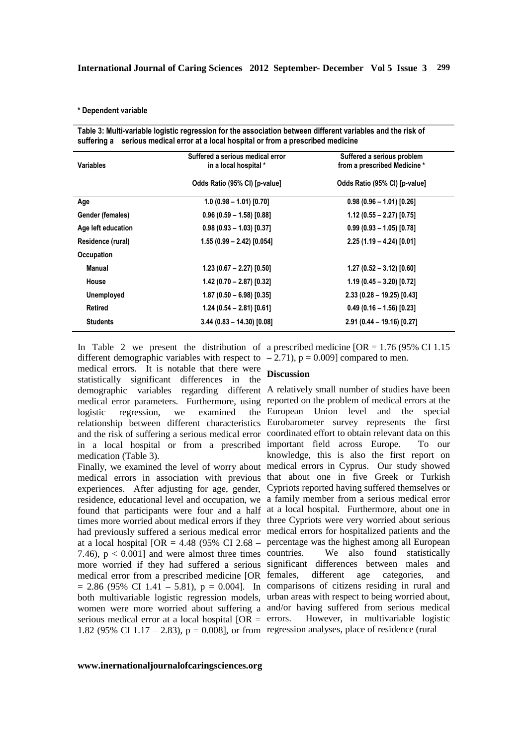#### **\* Dependent variable**

| <b>Variables</b>   | Suffered a serious medical error<br>in a local hospital * | Suffered a serious problem<br>from a prescribed Medicine* |
|--------------------|-----------------------------------------------------------|-----------------------------------------------------------|
|                    | Odds Ratio (95% CI) [p-value]                             | Odds Ratio (95% CI) [p-value]                             |
| Age                | $1.0 (0.98 - 1.01) [0.70]$                                | $0.98(0.96 - 1.01)[0.26]$                                 |
| Gender (females)   | $0.96(0.59 - 1.58)[0.88]$                                 | $1.12(0.55 - 2.27)[0.75]$                                 |
| Age left education | $0.98(0.93 - 1.03)[0.37]$                                 | $0.99(0.93 - 1.05)[0.78]$                                 |
| Residence (rural)  | $1.55(0.99 - 2.42)[0.054]$                                | $2.25(1.19 - 4.24)[0.01]$                                 |
| Occupation         |                                                           |                                                           |
| <b>Manual</b>      | $1.23(0.67 - 2.27)[0.50]$                                 | $1.27(0.52 - 3.12)[0.60]$                                 |
| House              | $1.42(0.70 - 2.87)[0.32]$                                 | $1.19(0.45 - 3.20)[0.72]$                                 |
| <b>Unemployed</b>  | $1.87(0.50 - 6.98)[0.35]$                                 | $2.33(0.28 - 19.25)[0.43]$                                |
| <b>Retired</b>     | $1.24(0.54 - 2.81)[0.61]$                                 | $0.49(0.16 - 1.56)[0.23]$                                 |
| <b>Students</b>    | $3.44(0.83 - 14.30)[0.08]$                                | $2.91(0.44 - 19.16)[0.27]$                                |

different demographic variables with respect to  $-2.71$ ),  $p = 0.009$  compared to men. medical errors. It is notable that there were **Discussion**  statistically significant differences in the demographic variables regarding different A relatively small number of studies have been logistic regression, we examined medication (Table 3).

7.46),  $p < 0.001$ ] and were almost three times countries. serious medical error at a local hospital  $[OR = errors]$ 1.82 (95% CI 1.17 – 2.83),  $p = 0.008$ , or from regression analyses, place of residence (rural

In Table 2 we present the distribution of a prescribed medicine  $[OR = 1.76 (95\% CI 1.15$ 

medical error parameters. Furthermore, using reported on the problem of medical errors at the relationship between different characteristics Eurobarometer survey represents the first and the risk of suffering a serious medical error coordinated effort to obtain relevant data on this in a local hospital or from a prescribed important field across Europe. To our Finally, we examined the level of worry about medical errors in Cyprus. Our study showed medical errors in association with previous that about one in five Greek or Turkish experiences. After adjusting for age, gender, Cypriots reported having suffered themselves or residence, educational level and occupation, we a family member from a serious medical error found that participants were four and a half at a local hospital. Furthermore, about one in times more worried about medical errors if they three Cypriots were very worried about serious had previously suffered a serious medical error medical errors for hospitalized patients and the at a local hospital  $[OR = 4.48 (95\% CI 2.68 - percentage was the highest among all European$ more worried if they had suffered a serious significant differences between males and medical error from a prescribed medicine [OR females, different age categories, and  $= 2.86$  (95% CI 1.41 – 5.81),  $p = 0.004$ ]. In comparisons of citizens residing in rural and both multivariable logistic regression models, urban areas with respect to being worried about, women were more worried about suffering a and/or having suffered from serious medical European Union level and the special knowledge, this is also the first report on We also found statistically However, in multivariable logistic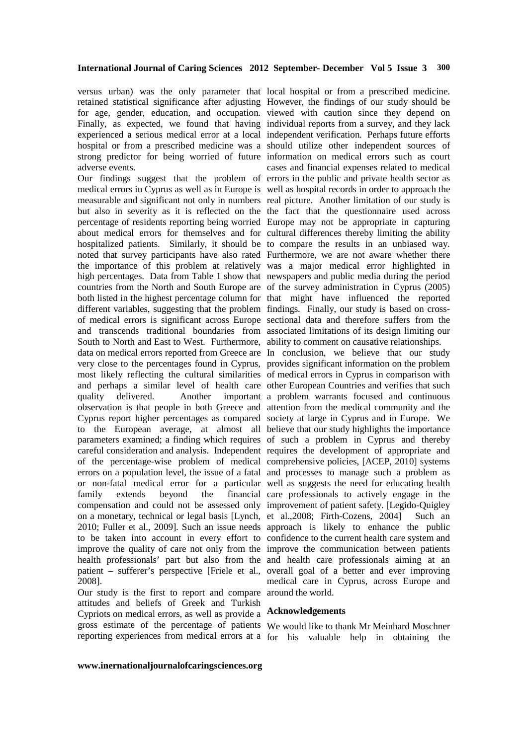versus urban) was the only parameter that local hospital or from a prescribed medicine. retained statistical significance after adjusting However, the findings of our study should be for age, gender, education, and occupation. viewed with caution since they depend on Finally, as expected, we found that having individual reports from a survey, and they lack experienced a serious medical error at a local independent verification. Perhaps future efforts hospital or from a prescribed medicine was a should utilize other independent sources of strong predictor for being worried of future information on medical errors such as court adverse events.

Our findings suggest that the problem of errors in the public and private health sector as medical errors in Cyprus as well as in Europe is well as hospital records in order to approach the measurable and significant not only in numbers real picture. Another limitation of our study is but also in severity as it is reflected on the the fact that the questionnaire used across percentage of residents reporting being worried Europe may not be appropriate in capturing about medical errors for themselves and for cultural differences thereby limiting the ability hospitalized patients. Similarly, it should be to compare the results in an unbiased way. noted that survey participants have also rated Furthermore, we are not aware whether there the importance of this problem at relatively was a major medical error highlighted in high percentages. Data from Table 1 show that newspapers and public media during the period countries from the North and South Europe are of the survey administration in Cyprus (2005) both listed in the highest percentage column for that might have influenced the reported different variables, suggesting that the problem findings. Finally, our study is based on crossof medical errors is significant across Europe sectional data and therefore suffers from the and transcends traditional boundaries from associated limitations of its design limiting our South to North and East to West. Furthermore, ability to comment on causative relationships. data on medical errors reported from Greece are In conclusion, we believe that our study very close to the percentages found in Cyprus, provides significant information on the problem most likely reflecting the cultural similarities of medical errors in Cyprus in comparison with and perhaps a similar level of health care other European Countries and verifies that such quality delivered. Another important a problem warrants focused and continuous observation is that people in both Greece and attention from the medical community and the Cyprus report higher percentages as compared society at large in Cyprus and in Europe. We to the European average, at almost all believe that our study highlights the importance parameters examined; a finding which requires of such a problem in Cyprus and thereby careful consideration and analysis. Independent requires the development of appropriate and of the percentage-wise problem of medical comprehensive policies, [ACEP, 2010] systems errors on a population level, the issue of a fatal and processes to manage such a problem as or non-fatal medical error for a particular well as suggests the need for educating health family extends beyond the financial care professionals to actively engage in the compensation and could not be assessed only improvement of patient safety. [Legido-Quigley on a monetary, technical or legal basis [Lynch, et al.,2008; Firth-Cozens, 2004] Such an 2010; Fuller et al., 2009]. Such an issue needs approach is likely to enhance the public to be taken into account in every effort to confidence to the current health care system and improve the quality of care not only from the improve the communication between patients health professionals' part but also from the and health care professionals aiming at an patient – sufferer's perspective [Friele et al., overall goal of a better and ever improving 2008].

Our study is the first to report and compare around the world. attitudes and beliefs of Greek and Turkish Cypriots on medical errors, as well as provide a **Acknowledgements**  gross estimate of the percentage of patients We would like to thank Mr Meinhard Moschner

cases and financial expenses related to medical

medical care in Cyprus, across Europe and

reporting experiences from medical errors at a for his valuable help in obtaining the